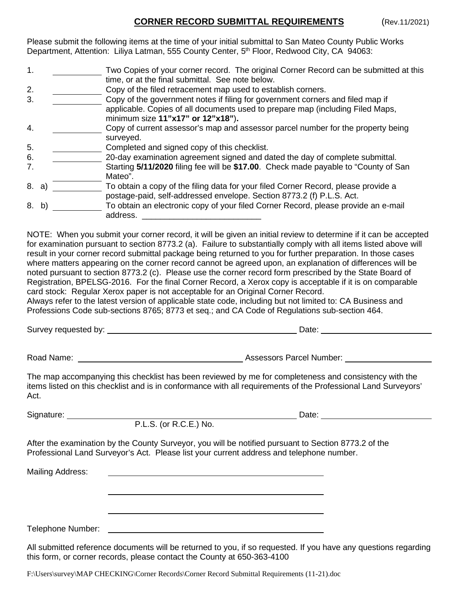## **CORNER RECORD SUBMITTAL REQUIREMENTS** (Rev.11/2021)

Please submit the following items at the time of your initial submittal to San Mateo County Public Works Department, Attention: Liliya Latman, 555 County Center, 5<sup>th</sup> Floor, Redwood City, CA 94063:

| Two Copies of your corner record. The original Corner Record can be submitted at this                                                                       |
|-------------------------------------------------------------------------------------------------------------------------------------------------------------|
| time, or at the final submittal. See note below.                                                                                                            |
| Copy of the filed retracement map used to establish corners.                                                                                                |
| Copy of the government notes if filing for government corners and filed map if                                                                              |
| applicable. Copies of all documents used to prepare map (including Filed Maps,<br>minimum size 11"x17" or 12"x18").                                         |
| Copy of current assessor's map and assessor parcel number for the property being<br>surveyed.                                                               |
| Completed and signed copy of this checklist.                                                                                                                |
| 20-day examination agreement signed and dated the day of complete submittal.                                                                                |
| Starting 5/11/2020 filing fee will be \$17.00. Check made payable to "County of San<br>Mateo".                                                              |
| To obtain a copy of the filing data for your filed Corner Record, please provide a<br>postage-paid, self-addressed envelope. Section 8773.2 (f) P.L.S. Act. |
| To obtain an electronic copy of your filed Corner Record, please provide an e-mail<br>address.                                                              |
| 8. a)<br>8. b)                                                                                                                                              |

NOTE: When you submit your corner record, it will be given an initial review to determine if it can be accepted for examination pursuant to section 8773.2 (a). Failure to substantially comply with all items listed above will result in your corner record submittal package being returned to you for further preparation. In those cases where matters appearing on the corner record cannot be agreed upon, an explanation of differences will be noted pursuant to section 8773.2 (c). Please use the corner record form prescribed by the State Board of Registration, BPELSG-2016. For the final Corner Record, a Xerox copy is acceptable if it is on comparable card stock: Regular Xerox paper is not acceptable for an Original Corner Record.

Always refer to the latest version of applicable state code, including but not limited to: CA Business and Professions Code sub-sections 8765; 8773 et seq.; and CA Code of Regulations sub-section 464.

Survey requested by:  $\qquad \qquad$  Date:

Road Name: Assessors Parcel Number:

The map accompanying this checklist has been reviewed by me for completeness and consistency with the items listed on this checklist and is in conformance with all requirements of the Professional Land Surveyors' Act.

Signature: <u>Communication Communication</u> Date: Date: Date: Date: Date: Date: Date: Date: Date: Date: Date: Date: Date: Date: Date: Date: Date: Date: Date: Date: Date: Date: Date: Date: Date: Date: Date: Date: Date: Date: D

P.L.S. (or R.C.E.) No.

After the examination by the County Surveyor, you will be notified pursuant to Section 8773.2 of the Professional Land Surveyor's Act. Please list your current address and telephone number.

Mailing Address:

Telephone Number:

All submitted reference documents will be returned to you, if so requested. If you have any questions regarding this form, or corner records, please contact the County at 650-363-4100

F:\Users\survey\MAP CHECKING\Corner Records\Corner Record Submittal Requirements (11-21).doc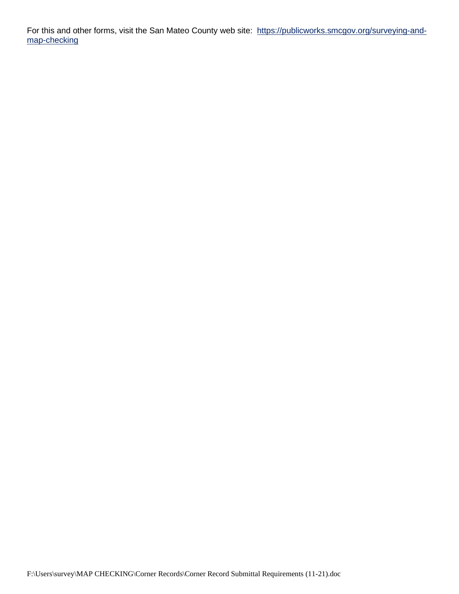For this and other forms, visit the San Mateo County web site: https://publicworks.smcgov.org/surveying-andmap-checking